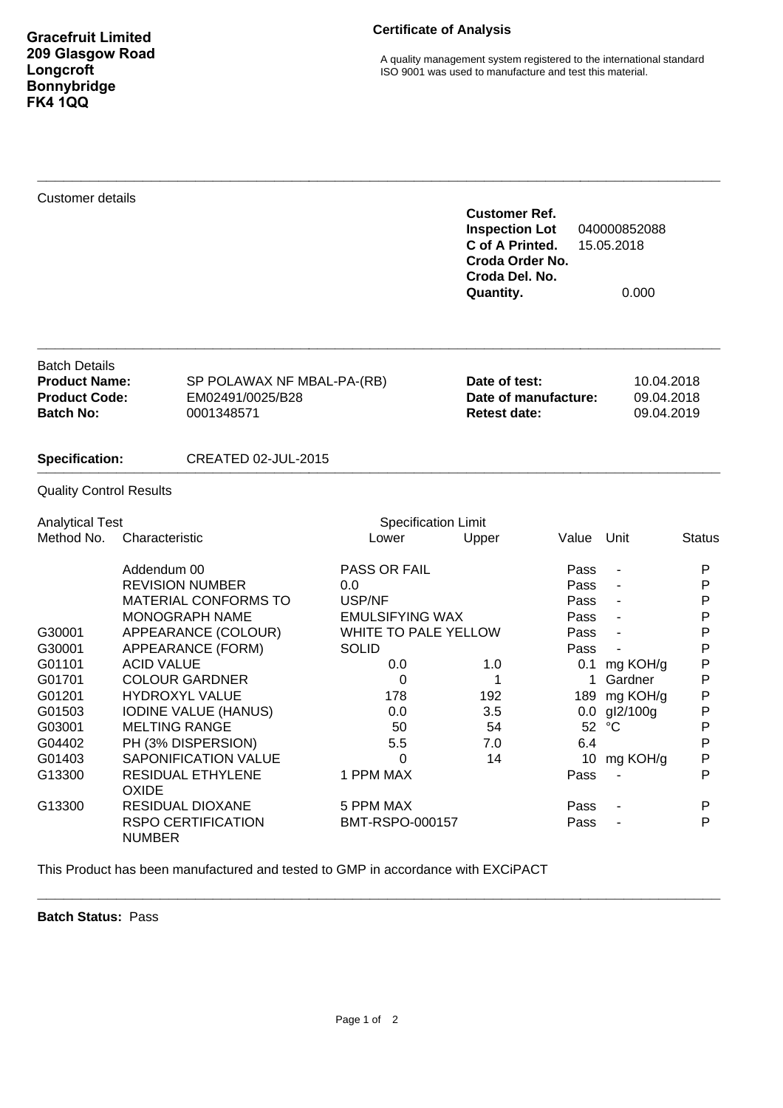A quality management system registered to the international standard ISO 9001 was used to manufacture and test this material.

| <b>Customer details</b>                                                                  |                                                                                                                                                                                                                                                                  |                                                      |                                                                                                                                               | <b>Customer Ref.</b><br><b>Inspection Lot</b><br>C of A Printed.<br>Croda Order No.<br>Croda Del. No.<br>Quantity. |                                                                                                        | 040000852088<br>15.05.2018<br>0.000                                                  |                                                                     |
|------------------------------------------------------------------------------------------|------------------------------------------------------------------------------------------------------------------------------------------------------------------------------------------------------------------------------------------------------------------|------------------------------------------------------|-----------------------------------------------------------------------------------------------------------------------------------------------|--------------------------------------------------------------------------------------------------------------------|--------------------------------------------------------------------------------------------------------|--------------------------------------------------------------------------------------|---------------------------------------------------------------------|
| <b>Batch Details</b><br><b>Product Name:</b><br><b>Product Code:</b><br><b>Batch No:</b> |                                                                                                                                                                                                                                                                  | EM02491/0025/B28<br>0001348571                       | SP POLAWAX NF MBAL-PA-(RB)                                                                                                                    |                                                                                                                    | Date of test:<br>10.04.2018<br>Date of manufacture:<br>09.04.2018<br><b>Retest date:</b><br>09.04.2019 |                                                                                      |                                                                     |
| <b>Specification:</b>                                                                    |                                                                                                                                                                                                                                                                  | <b>CREATED 02-JUL-2015</b>                           |                                                                                                                                               |                                                                                                                    |                                                                                                        |                                                                                      |                                                                     |
| <b>Quality Control Results</b>                                                           |                                                                                                                                                                                                                                                                  |                                                      |                                                                                                                                               |                                                                                                                    |                                                                                                        |                                                                                      |                                                                     |
| <b>Analytical Test</b>                                                                   |                                                                                                                                                                                                                                                                  |                                                      | <b>Specification Limit</b>                                                                                                                    |                                                                                                                    |                                                                                                        |                                                                                      |                                                                     |
| Method No.                                                                               | Characteristic                                                                                                                                                                                                                                                   |                                                      | Lower                                                                                                                                         | Upper                                                                                                              | Value                                                                                                  | Unit                                                                                 | Status                                                              |
| G30001<br>G30001<br>G01101<br>G01701<br>G01201<br>G01503<br>G03001<br>G04402             | Addendum 00<br><b>REVISION NUMBER</b><br>MATERIAL CONFORMS TO<br><b>MONOGRAPH NAME</b><br>APPEARANCE (COLOUR)<br>APPEARANCE (FORM)<br><b>ACID VALUE</b><br><b>COLOUR GARDNER</b><br><b>HYDROXYL VALUE</b><br><b>IODINE VALUE (HANUS)</b><br><b>MELTING RANGE</b> |                                                      | PASS OR FAIL<br>0.0<br>USP/NF<br><b>EMULSIFYING WAX</b><br>WHITE TO PALE YELLOW<br><b>SOLID</b><br>0.0<br>$\Omega$<br>178<br>0.0<br>50<br>5.5 | 1.0<br>1<br>192<br>3.5<br>54<br>7.0                                                                                | Pass<br>Pass<br>Pass<br>Pass<br>Pass<br>Pass<br>$\mathbf 1$<br>189<br>0.0<br>6.4                       | $\overline{\phantom{a}}$<br>0.1 mg KOH/g<br>Gardner<br>mg KOH/g<br>gl2/100g<br>52 °C | P<br>P<br>P<br>P<br>P<br>P<br>P<br>P<br>P<br>P<br>$\mathsf{P}$<br>P |
| G01403<br>G13300                                                                         | PH (3% DISPERSION)<br><b>SAPONIFICATION VALUE</b><br>RESIDUAL ETHYLENE<br><b>OXIDE</b>                                                                                                                                                                           |                                                      | 0<br>1 PPM MAX                                                                                                                                | 14                                                                                                                 | Pass                                                                                                   | 10 mg KOH/g                                                                          | P<br>P                                                              |
| G13300                                                                                   | <b>NUMBER</b>                                                                                                                                                                                                                                                    | <b>RESIDUAL DIOXANE</b><br><b>RSPO CERTIFICATION</b> | 5 PPM MAX<br>BMT-RSPO-000157                                                                                                                  |                                                                                                                    | Pass<br>Pass                                                                                           |                                                                                      | P<br>P                                                              |

This Product has been manufactured and tested to GMP in accordance with EXCiPACT

**Batch Status:** Pass

**\_\_\_\_\_\_\_\_\_\_\_\_\_\_\_\_\_\_\_\_\_\_\_\_\_\_\_\_\_\_\_\_\_\_\_\_\_\_\_\_\_\_\_\_\_\_\_\_\_\_\_\_\_\_\_\_\_\_\_\_\_\_\_\_\_\_\_\_\_\_\_\_\_\_\_\_\_\_**